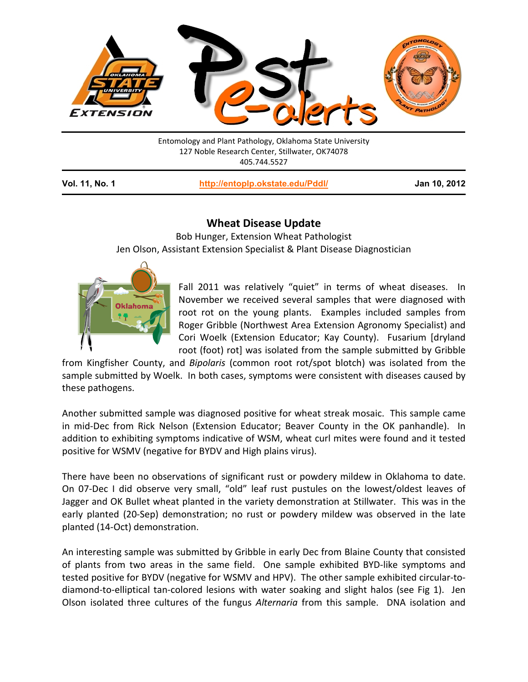

Entomology and Plant Pathology, Oklahoma State University 127 Noble Research Center, Stillwater, OK74078 405.744.5527

**Vol. 11, No. 1 <http://entoplp.okstate.edu/Pddl/> Jan 10, 2012**

## **Wheat Disease Update**

Bob Hunger, Extension Wheat Pathologist Jen Olson, Assistant Extension Specialist & Plant Disease Diagnostician



Fall 2011 was relatively "quiet" in terms of wheat diseases. In November we received several samples that were diagnosed with root rot on the young plants. Examples included samples from Roger Gribble (Northwest Area Extension Agronomy Specialist) and Cori Woelk (Extension Educator; Kay County). Fusarium [dryland root (foot) rot] was isolated from the sample submitted by Gribble

from Kingfisher County, and *Bipolaris* (common root rot/spot blotch) was isolated from the sample submitted by Woelk. In both cases, symptoms were consistent with diseases caused by these pathogens.

Another submitted sample was diagnosed positive for wheat streak mosaic. This sample came in mid-Dec from Rick Nelson (Extension Educator; Beaver County in the OK panhandle). In addition to exhibiting symptoms indicative of WSM, wheat curl mites were found and it tested positive for WSMV (negative for BYDV and High plains virus).

There have been no observations of significant rust or powdery mildew in Oklahoma to date. On 07-Dec I did observe very small, "old" leaf rust pustules on the lowest/oldest leaves of Jagger and OK Bullet wheat planted in the variety demonstration at Stillwater. This was in the early planted (20-Sep) demonstration; no rust or powdery mildew was observed in the late planted (14-Oct) demonstration.

An interesting sample was submitted by Gribble in early Dec from Blaine County that consisted of plants from two areas in the same field. One sample exhibited BYD-like symptoms and tested positive for BYDV (negative for WSMV and HPV). The other sample exhibited circular-todiamond-to-elliptical tan-colored lesions with water soaking and slight halos (see Fig 1). Jen Olson isolated three cultures of the fungus *Alternaria* from this sample. DNA isolation and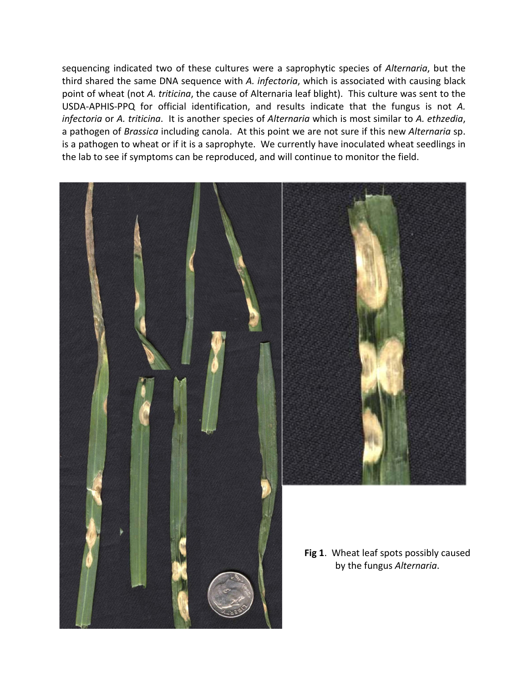sequencing indicated two of these cultures were a saprophytic species of *Alternaria*, but the third shared the same DNA sequence with *A. infectoria*, which is associated with causing black point of wheat (not *A. triticina*, the cause of Alternaria leaf blight). This culture was sent to the USDA-APHIS-PPQ for official identification, and results indicate that the fungus is not *A. infectoria* or *A. triticina*. It is another species of *Alternaria* which is most similar to *A. ethzedia*, a pathogen of *Brassica* including canola. At this point we are not sure if this new *Alternaria* sp. is a pathogen to wheat or if it is a saprophyte. We currently have inoculated wheat seedlings in the lab to see if symptoms can be reproduced, and will continue to monitor the field.